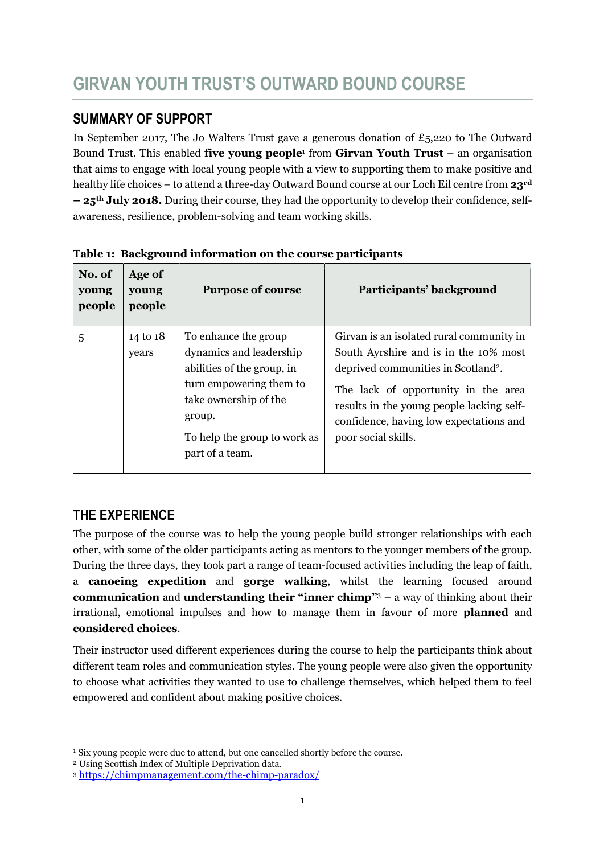## SUMMARY OF SUPPORT

In September 2017, The Jo Walters Trust gave a generous donation of  $E_5$ , 220 to The Outward Bound Trust. This enabled five young people<sup>1</sup> from Girvan Youth Trust  $-$  an organisation that aims to engage with local young people with a view to supporting them to make positive and healthy life choices – to attend a three-day Outward Bound course at our Loch Eil centre from 23<sup>rd</sup> – 25th July 2018. During their course, they had the opportunity to develop their confidence, selfawareness, resilience, problem-solving and team working skills.

| No. of<br>young<br>people | Age of<br>young<br>people | <b>Purpose of course</b>                                                                                                                                                                       | Participants' background                                                                                                                                                                                                                                                                   |
|---------------------------|---------------------------|------------------------------------------------------------------------------------------------------------------------------------------------------------------------------------------------|--------------------------------------------------------------------------------------------------------------------------------------------------------------------------------------------------------------------------------------------------------------------------------------------|
| 5                         | 14 to 18<br>years         | To enhance the group<br>dynamics and leadership<br>abilities of the group, in<br>turn empowering them to<br>take ownership of the<br>group.<br>To help the group to work as<br>part of a team. | Girvan is an isolated rural community in<br>South Ayrshire and is in the 10% most<br>deprived communities in Scotland <sup>2</sup> .<br>The lack of opportunity in the area<br>results in the young people lacking self-<br>confidence, having low expectations and<br>poor social skills. |

Table 1: Background information on the course participants

# THE EXPERIENCE

-

The purpose of the course was to help the young people build stronger relationships with each other, with some of the older participants acting as mentors to the younger members of the group. During the three days, they took part a range of team-focused activities including the leap of faith, a canoeing expedition and gorge walking, whilst the learning focused around **communication** and **understanding their "inner chimp"** $3 - a$  way of thinking about their irrational, emotional impulses and how to manage them in favour of more planned and considered choices.

Their instructor used different experiences during the course to help the participants think about different team roles and communication styles. The young people were also given the opportunity to choose what activities they wanted to use to challenge themselves, which helped them to feel empowered and confident about making positive choices.

<sup>&</sup>lt;sup>1</sup> Six young people were due to attend, but one cancelled shortly before the course.

<sup>2</sup> Using Scottish Index of Multiple Deprivation data.

<sup>3</sup> https://chimpmanagement.com/the-chimp-paradox/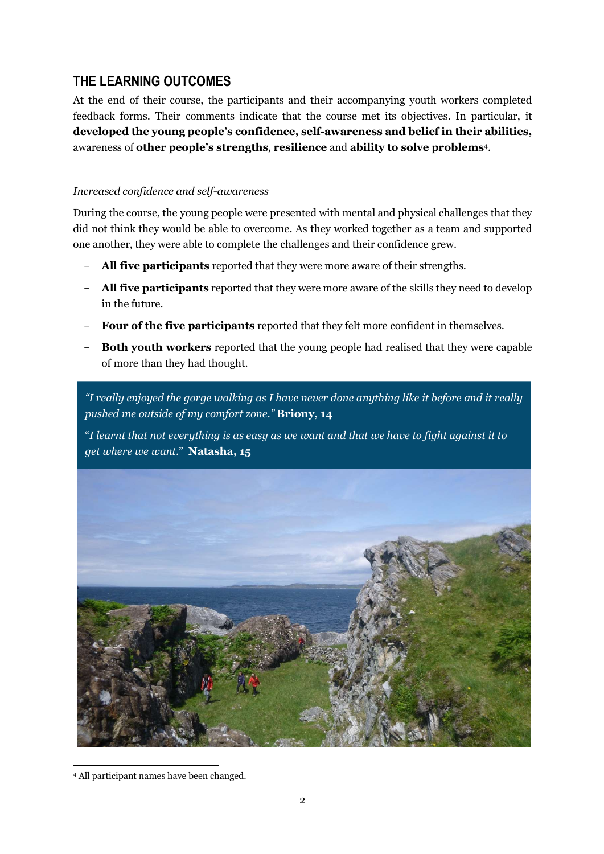## THE LEARNING OUTCOMES

At the end of their course, the participants and their accompanying youth workers completed feedback forms. Their comments indicate that the course met its objectives. In particular, it developed the young people's confidence, self-awareness and belief in their abilities, awareness of other people's strengths, resilience and ability to solve problems<sup>4</sup>.

### Increased confidence and self-awareness

During the course, the young people were presented with mental and physical challenges that they did not think they would be able to overcome. As they worked together as a team and supported one another, they were able to complete the challenges and their confidence grew.

- All five participants reported that they were more aware of their strengths.
- All five participants reported that they were more aware of the skills they need to develop in the future.
- Four of the five participants reported that they felt more confident in themselves.
- **Both youth workers** reported that the young people had realised that they were capable of more than they had thought.

"I really enjoyed the gorge walking as I have never done anything like it before and it really pushed me outside of my comfort zone." Briony, 14

"I learnt that not everything is as easy as we want and that we have to fight against it to get where we want." Natasha, 15



<sup>-</sup><sup>4</sup> All participant names have been changed.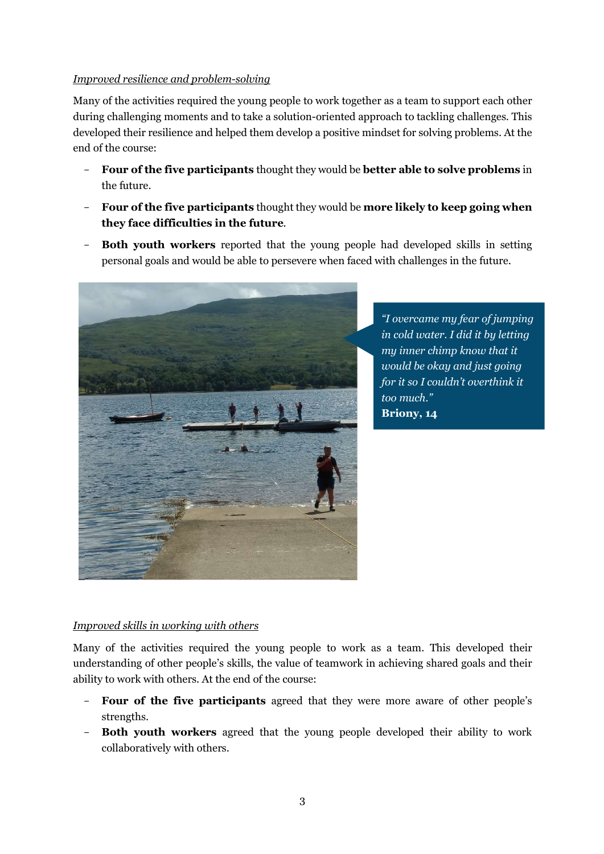#### Improved resilience and problem-solving

Many of the activities required the young people to work together as a team to support each other during challenging moments and to take a solution-oriented approach to tackling challenges. This developed their resilience and helped them develop a positive mindset for solving problems. At the end of the course:

- Four of the five participants thought they would be better able to solve problems in the future.
- Four of the five participants thought they would be more likely to keep going when they face difficulties in the future.
- Both youth workers reported that the young people had developed skills in setting personal goals and would be able to persevere when faced with challenges in the future.



"I overcame my fear of jumping in cold water. I did it by letting my inner chimp know that it would be okay and just going for it so I couldn't overthink it too much." Briony, 14

### Improved skills in working with others

Many of the activities required the young people to work as a team. This developed their understanding of other people's skills, the value of teamwork in achieving shared goals and their ability to work with others. At the end of the course:

- Four of the five participants agreed that they were more aware of other people's strengths.
- Both youth workers agreed that the young people developed their ability to work collaboratively with others.